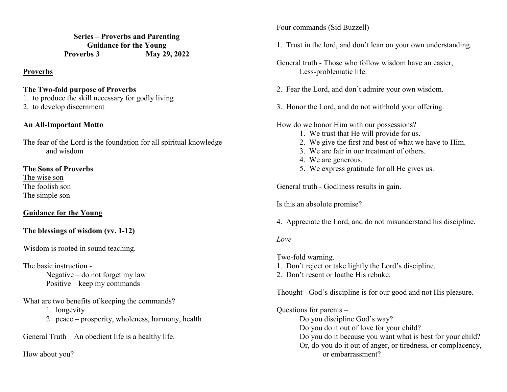**Series – Proverbs and Parenting Guidance for the Young Proverbs 3 May 29, 2022** 

#### **Proverbs**

#### **The Two-fold purpose of Proverbs**

- 1. to produce the skill necessary for godly living
- 2. to develop discernment

## **An All-Important Motto**

The fear of the Lord is the foundation for all spiritual knowledge and wisdom

**The Sons of Proverbs** The wise son

 The foolish son The simple son

# **Guidance for the Young**

# **The blessings of wisdom (vv. 1-12)**

## Wisdom is rooted in sound teaching.

The basic instruction -

 Negative – do not forget my law Positive – keep my commands

What are two benefits of keeping the commands?

1. longevity

2. peace – prosperity, wholeness, harmony, health

General Truth – An obedient life is a healthy life.

How about you?

### Four commands (Sid Buzzell)

- 1. Trust in the lord, and don't lean on your own understanding.
- General truth Those who follow wisdom have an easier, Less-problematic life.
- 2. Fear the Lord, and don't admire your own wisdom.
- 3. Honor the Lord, and do not withhold your offering.

How do we honor Him with our possessions?

- 1. We trust that He will provide for us.
- 2. We give the first and best of what we have to Him.
	- 3. We are fair in our treatment of others.
	- 4. We are generous.
- 5. We express gratitude for all He gives us.

General truth - Godliness results in gain.

Is this an absolute promise?

4. Appreciate the Lord, and do not misunderstand his discipline.

## *Love*

Two-fold warning.

- 1. Don't reject or take lightly the Lord's discipline.
- 2. Don't resent or loathe His rebuke.

Thought - God's discipline is for our good and not His pleasure.

Questions for parents –

 Do you discipline God's way? Do you do it out of love for your child? Do you do it because you want what is best for your child? Or, do you do it out of anger, or tiredness, or complacency, or embarrassment?